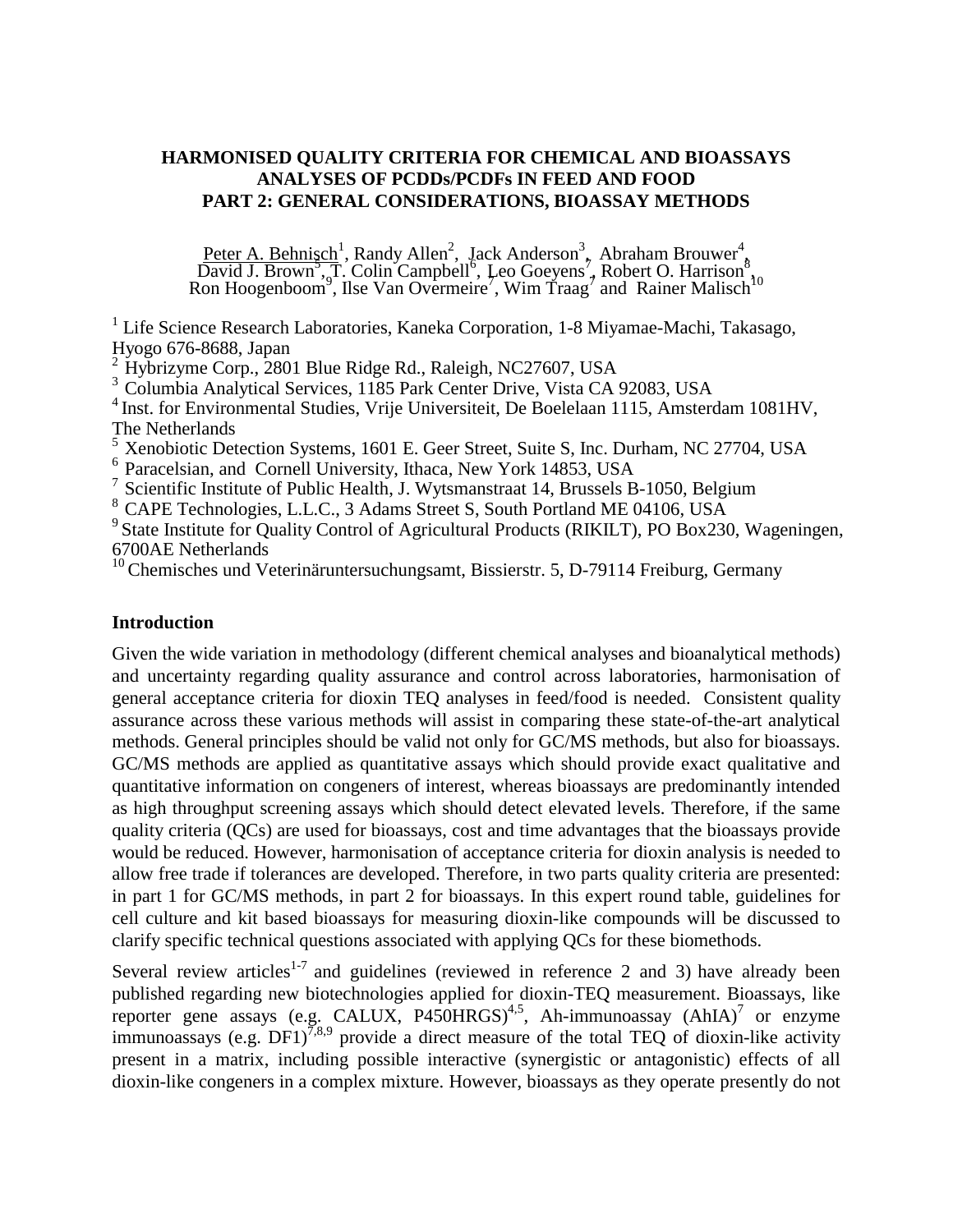# **HARMONISED QUALITY CRITERIA FOR CHEMICAL AND BIOASSAYS ANALYSES OF PCDDs/PCDFs IN FEED AND FOOD PART 2: GENERAL CONSIDERATIONS, BIOASSAY METHODS**

Peter A. Behnisch<sup>1</sup>, Randy Allen<sup>2</sup>, Jack Anderson<sup>3</sup>, Abraham Brouwer<sup>4</sup>, David J. Brown<sup>3</sup>, T. Colin Campbell<sup>6</sup>, Leo Goeyens<sup>7</sup>, Robert O. Harrison<sup>8</sup>, Ron Hoogenboom<sup>9</sup>, Ilse Van Overmeire<sup>7</sup>, Wim Traag<sup>7</sup> and Rainer

<sup>1</sup> Life Science Research Laboratories, Kaneka Corporation, 1-8 Miyamae-Machi, Takasago, Hyogo 676-8688, Japan<br>
<sup>2</sup> Hybrizyme Corp., 2801 Blue Ridge Rd., Raleigh, NC27607, USA

<sup>3</sup> Columbia Analytical Services, 1185 Park Center Drive, Vista CA 92083, USA<br><sup>4</sup> Inst. for Environmental Studies, Vrije Universiteit, De Boelelaan 1115, Amsterdam 1081HV, The Netherlands<br><sup>5</sup> Xenobiotic Detection Systems, 1601 E. Geer Street, Suite S, Inc. Durham, NC 27704, USA

<sup>6</sup> Paracelsian, and Cornell University, Ithaca, New York 14853, USA<br>
<sup>7</sup> Scientific Institute of Public Health, J. Wytsmanstraat 14, Brussels B-1050, Belgium<br>
<sup>8</sup> CAPE Technologies, L.L.C., 3 Adams Street S, South Portla 6700AE Netherlands

<sup>10</sup> Chemisches und Veterinäruntersuchungsamt, Bissierstr. 5, D-79114 Freiburg, Germany

#### **Introduction**

Given the wide variation in methodology (different chemical analyses and bioanalytical methods) and uncertainty regarding quality assurance and control across laboratories, harmonisation of general acceptance criteria for dioxin TEQ analyses in feed/food is needed. Consistent quality assurance across these various methods will assist in comparing these state-of-the-art analytical methods. General principles should be valid not only for GC/MS methods, but also for bioassays. GC/MS methods are applied as quantitative assays which should provide exact qualitative and quantitative information on congeners of interest, whereas bioassays are predominantly intended as high throughput screening assays which should detect elevated levels. Therefore, if the same quality criteria (QCs) are used for bioassays, cost and time advantages that the bioassays provide would be reduced. However, harmonisation of acceptance criteria for dioxin analysis is needed to allow free trade if tolerances are developed. Therefore, in two parts quality criteria are presented: in part 1 for GC/MS methods, in part 2 for bioassays. In this expert round table, guidelines for cell culture and kit based bioassays for measuring dioxin-like compounds will be discussed to clarify specific technical questions associated with applying QCs for these biomethods.

Several review articles<sup>1-7</sup> and guidelines (reviewed in reference 2 and 3) have already been published regarding new biotechnologies applied for dioxin-TEQ measurement. Bioassays, like reporter gene assays (e.g. CALUX, P450HRGS)<sup>4,5</sup>, Ah-immunoassay (AhIA)<sup>7</sup> or enzyme immunoassays (e.g.  $DF1$ )<sup>7,8,9</sup> provide a direct measure of the total TEQ of dioxin-like activity present in a matrix, including possible interactive (synergistic or antagonistic) effects of all dioxin-like congeners in a complex mixture. However, bioassays as they operate presently do not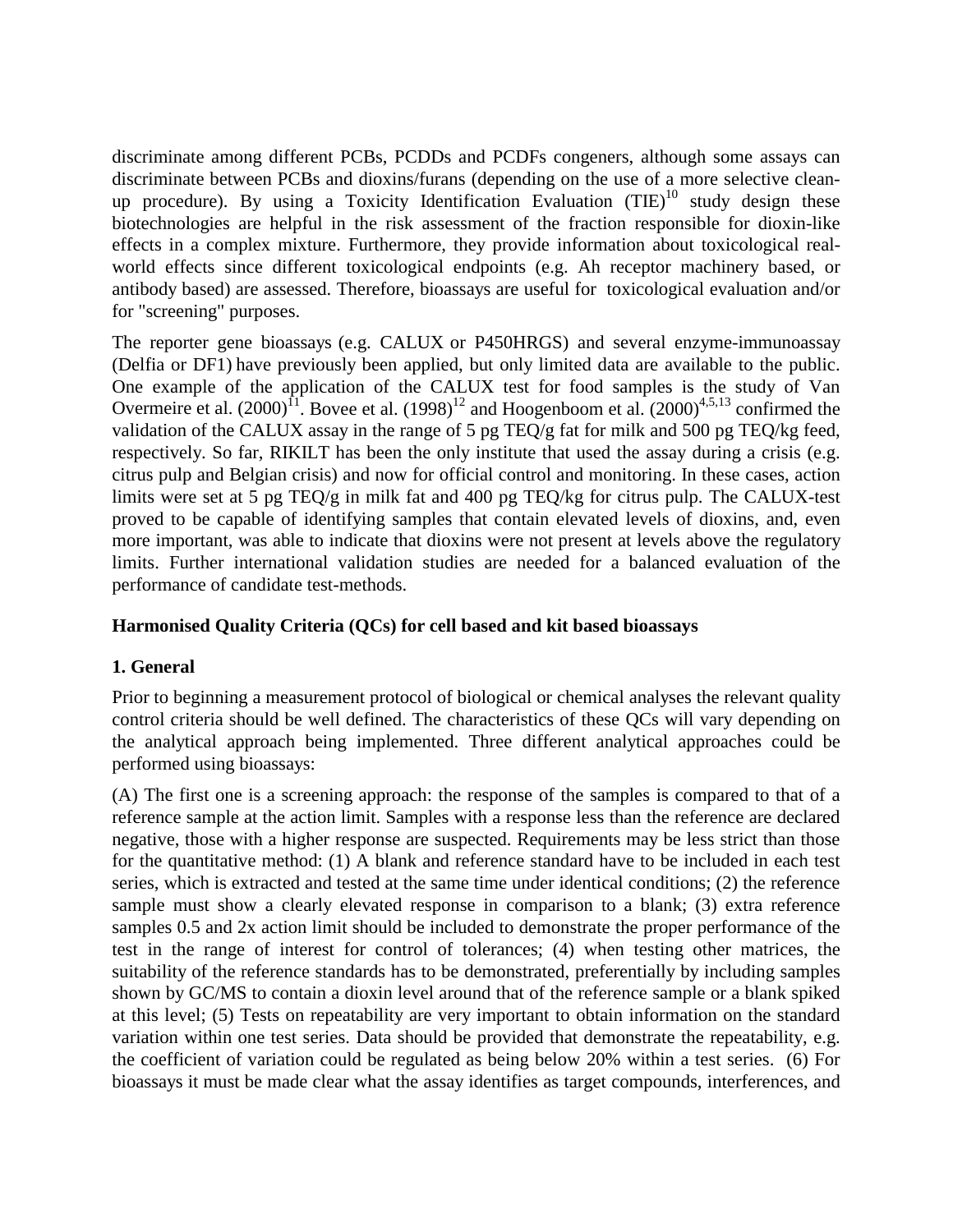discriminate among different PCBs, PCDDs and PCDFs congeners, although some assays can discriminate between PCBs and dioxins/furans (depending on the use of a more selective cleanup procedure). By using a Toxicity Identification Evaluation  $(TIE)^{10}$  study design these biotechnologies are helpful in the risk assessment of the fraction responsible for dioxin-like effects in a complex mixture. Furthermore, they provide information about toxicological realworld effects since different toxicological endpoints (e.g. Ah receptor machinery based, or antibody based) are assessed. Therefore, bioassays are useful for toxicological evaluation and/or for "screening" purposes.

The reporter gene bioassays (e.g. CALUX or P450HRGS) and several enzyme-immunoassay (Delfia or DF1) have previously been applied, but only limited data are available to the public. One example of the application of the CALUX test for food samples is the study of Van Overmeire et al.  $(2000)^{11}$ . Bovee et al.  $(1998)^{12}$  and Hoogenboom et al.  $(2000)^{4,5,13}$  confirmed the validation of the CALUX assay in the range of 5 pg TEQ/g fat for milk and 500 pg TEQ/kg feed, respectively. So far, RIKILT has been the only institute that used the assay during a crisis (e.g. citrus pulp and Belgian crisis) and now for official control and monitoring. In these cases, action limits were set at 5 pg TEQ/g in milk fat and 400 pg TEQ/kg for citrus pulp. The CALUX-test proved to be capable of identifying samples that contain elevated levels of dioxins, and, even more important, was able to indicate that dioxins were not present at levels above the regulatory limits. Further international validation studies are needed for a balanced evaluation of the performance of candidate test-methods.

## **Harmonised Quality Criteria (QCs) for cell based and kit based bioassays**

# **1. General**

Prior to beginning a measurement protocol of biological or chemical analyses the relevant quality control criteria should be well defined. The characteristics of these QCs will vary depending on the analytical approach being implemented. Three different analytical approaches could be performed using bioassays:

(A) The first one is a screening approach: the response of the samples is compared to that of a reference sample at the action limit. Samples with a response less than the reference are declared negative, those with a higher response are suspected. Requirements may be less strict than those for the quantitative method: (1) A blank and reference standard have to be included in each test series, which is extracted and tested at the same time under identical conditions; (2) the reference sample must show a clearly elevated response in comparison to a blank; (3) extra reference samples 0.5 and 2x action limit should be included to demonstrate the proper performance of the test in the range of interest for control of tolerances; (4) when testing other matrices, the suitability of the reference standards has to be demonstrated, preferentially by including samples shown by GC/MS to contain a dioxin level around that of the reference sample or a blank spiked at this level; (5) Tests on repeatability are very important to obtain information on the standard variation within one test series. Data should be provided that demonstrate the repeatability, e.g. the coefficient of variation could be regulated as being below 20% within a test series. (6) For bioassays it must be made clear what the assay identifies as target compounds, interferences, and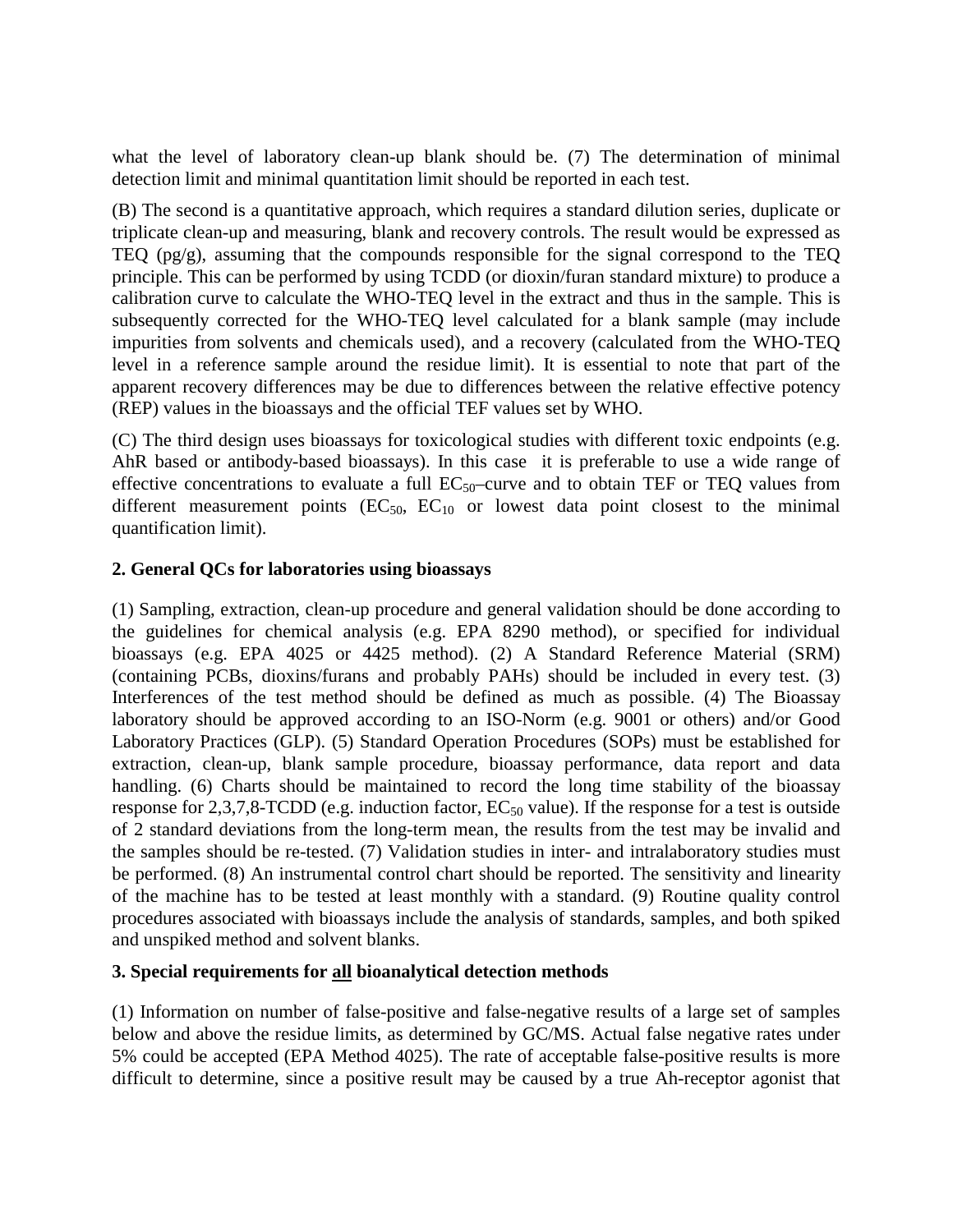what the level of laboratory clean-up blank should be. (7) The determination of minimal detection limit and minimal quantitation limit should be reported in each test.

(B) The second is a quantitative approach, which requires a standard dilution series, duplicate or triplicate clean-up and measuring, blank and recovery controls. The result would be expressed as TEQ (pg/g), assuming that the compounds responsible for the signal correspond to the TEQ principle. This can be performed by using TCDD (or dioxin/furan standard mixture) to produce a calibration curve to calculate the WHO-TEQ level in the extract and thus in the sample. This is subsequently corrected for the WHO-TEQ level calculated for a blank sample (may include impurities from solvents and chemicals used), and a recovery (calculated from the WHO-TEQ level in a reference sample around the residue limit). It is essential to note that part of the apparent recovery differences may be due to differences between the relative effective potency (REP) values in the bioassays and the official TEF values set by WHO.

(C) The third design uses bioassays for toxicological studies with different toxic endpoints (e.g. AhR based or antibody-based bioassays). In this case it is preferable to use a wide range of effective concentrations to evaluate a full  $EC_{50}$ -curve and to obtain TEF or TEQ values from different measurement points  $(EC_{50}, EC_{10}$  or lowest data point closest to the minimal quantification limit).

### **2. General QCs for laboratories using bioassays**

(1) Sampling, extraction, clean-up procedure and general validation should be done according to the guidelines for chemical analysis (e.g. EPA 8290 method), or specified for individual bioassays (e.g. EPA 4025 or 4425 method). (2) A Standard Reference Material (SRM) (containing PCBs, dioxins/furans and probably PAHs) should be included in every test. (3) Interferences of the test method should be defined as much as possible. (4) The Bioassay laboratory should be approved according to an ISO-Norm (e.g. 9001 or others) and/or Good Laboratory Practices (GLP). (5) Standard Operation Procedures (SOPs) must be established for extraction, clean-up, blank sample procedure, bioassay performance, data report and data handling. (6) Charts should be maintained to record the long time stability of the bioassay response for 2,3,7,8-TCDD (e.g. induction factor,  $EC_{50}$  value). If the response for a test is outside of 2 standard deviations from the long-term mean, the results from the test may be invalid and the samples should be re-tested. (7) Validation studies in inter- and intralaboratory studies must be performed. (8) An instrumental control chart should be reported. The sensitivity and linearity of the machine has to be tested at least monthly with a standard. (9) Routine quality control procedures associated with bioassays include the analysis of standards, samples, and both spiked and unspiked method and solvent blanks.

# **3. Special requirements for all bioanalytical detection methods**

(1) Information on number of false-positive and false-negative results of a large set of samples below and above the residue limits, as determined by GC/MS. Actual false negative rates under 5% could be accepted (EPA Method 4025). The rate of acceptable false-positive results is more difficult to determine, since a positive result may be caused by a true Ah-receptor agonist that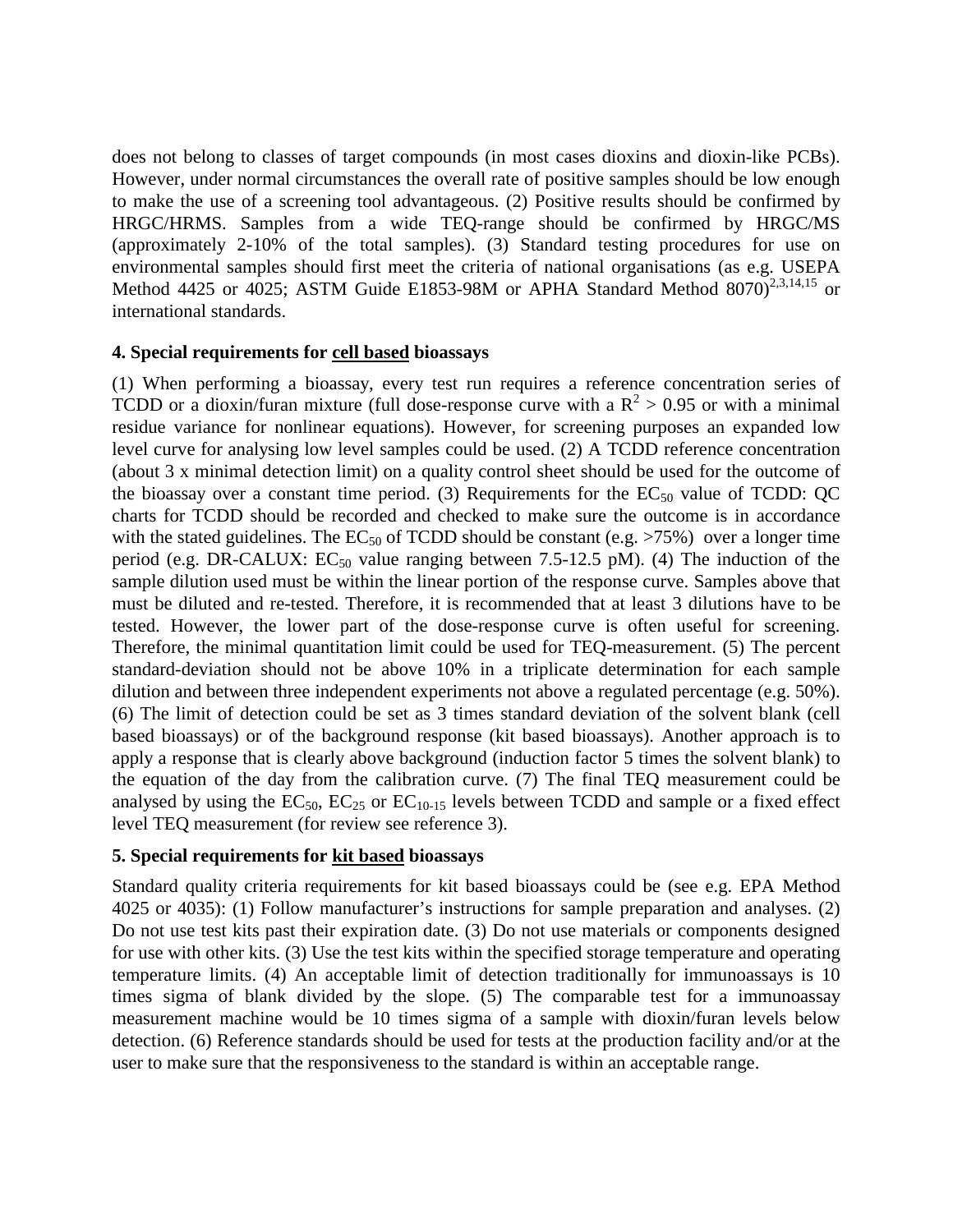does not belong to classes of target compounds (in most cases dioxins and dioxin-like PCBs). However, under normal circumstances the overall rate of positive samples should be low enough to make the use of a screening tool advantageous. (2) Positive results should be confirmed by HRGC/HRMS. Samples from a wide TEQ-range should be confirmed by HRGC/MS (approximately 2-10% of the total samples). (3) Standard testing procedures for use on environmental samples should first meet the criteria of national organisations (as e.g. USEPA Method 4425 or 4025; ASTM Guide E1853-98M or APHA Standard Method  $8070)^{2,3,14,15}$  or international standards.

### **4. Special requirements for cell based bioassays**

(1) When performing a bioassay, every test run requires a reference concentration series of TCDD or a dioxin/furan mixture (full dose-response curve with a  $R^2 > 0.95$  or with a minimal residue variance for nonlinear equations). However, for screening purposes an expanded low level curve for analysing low level samples could be used. (2) A TCDD reference concentration (about 3 x minimal detection limit) on a quality control sheet should be used for the outcome of the bioassay over a constant time period. (3) Requirements for the  $EC_{50}$  value of TCDD: QC charts for TCDD should be recorded and checked to make sure the outcome is in accordance with the stated guidelines. The  $EC_{50}$  of TCDD should be constant (e.g.  $>75\%$ ) over a longer time period (e.g. DR-CALUX:  $EC_{50}$  value ranging between 7.5-12.5 pM). (4) The induction of the sample dilution used must be within the linear portion of the response curve. Samples above that must be diluted and re-tested. Therefore, it is recommended that at least 3 dilutions have to be tested. However, the lower part of the dose-response curve is often useful for screening. Therefore, the minimal quantitation limit could be used for TEQ-measurement. (5) The percent standard-deviation should not be above 10% in a triplicate determination for each sample dilution and between three independent experiments not above a regulated percentage (e.g. 50%). (6) The limit of detection could be set as 3 times standard deviation of the solvent blank (cell based bioassays) or of the background response (kit based bioassays). Another approach is to apply a response that is clearly above background (induction factor 5 times the solvent blank) to the equation of the day from the calibration curve. (7) The final TEQ measurement could be analysed by using the  $EC_{50}$ ,  $EC_{25}$  or  $EC_{10-15}$  levels between TCDD and sample or a fixed effect level TEQ measurement (for review see reference 3).

### **5. Special requirements for kit based bioassays**

Standard quality criteria requirements for kit based bioassays could be (see e.g. EPA Method 4025 or 4035): (1) Follow manufacturer's instructions for sample preparation and analyses. (2) Do not use test kits past their expiration date. (3) Do not use materials or components designed for use with other kits. (3) Use the test kits within the specified storage temperature and operating temperature limits. (4) An acceptable limit of detection traditionally for immunoassays is 10 times sigma of blank divided by the slope. (5) The comparable test for a immunoassay measurement machine would be 10 times sigma of a sample with dioxin/furan levels below detection. (6) Reference standards should be used for tests at the production facility and/or at the user to make sure that the responsiveness to the standard is within an acceptable range.